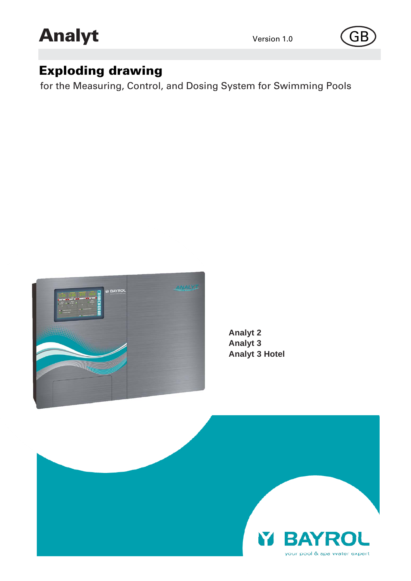



# Exploding drawing

for the Measuring, Control, and Dosing System for Swimming Pools



**Analyt 2 Analyt 3 Analyt 3 Hotel**

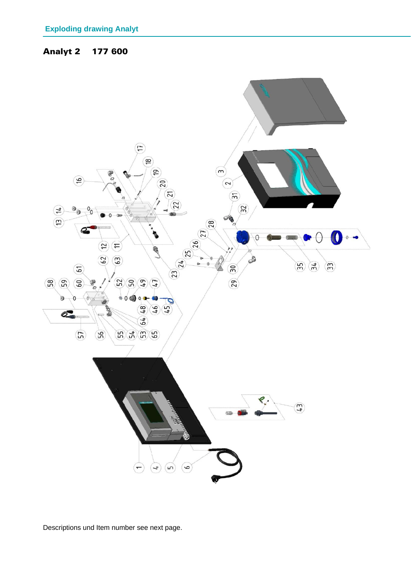## Analyt 2 177 600



Descriptions und Item number see next page.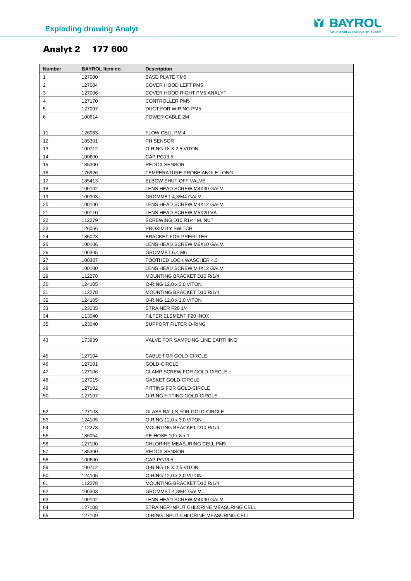

## Analyt 2 177 600

| <b>Number</b>  | <b>BAYROL Item no.</b> | <b>Description</b>                                 |
|----------------|------------------------|----------------------------------------------------|
| 1              | 127000                 | <b>BASE PLATE PM5</b>                              |
| $\overline{2}$ | 127004                 | COVER HOOD LEFT PM5                                |
| 3              | 127006                 | COVER HOOD RIGHT PM5 ANALYT                        |
| 4              | 127170                 | <b>CONTROLLER PM5</b>                              |
| 5              | 127007                 | DUCT FOR WIRING PM5                                |
| 6              | 100614                 | POWER CABLE 2M                                     |
|                |                        |                                                    |
| 11             | 126063                 | FLOW CELL PM 4                                     |
| 12             | 185301                 | PH SENSOR                                          |
| 13             | 100712                 | O-RING 18 X 2,5 VITON                              |
| 14             | 100600                 | <b>CAP PG13,5</b>                                  |
| 15             | 185300                 | <b>REDOX SENSOR</b>                                |
| 16             | 176926                 | TEMPERATURE PROBE ANGLE LONG                       |
| 17             | 185413                 | ELBOW SHUT OFF VALVE                               |
| 18             | 100102                 | LENS HEAD SCREW M4X30 GALV.                        |
| 19             | 100303                 | GROMMET 4,3/M4 GALV.                               |
| 20             | 100100                 | LENS HEAD SCREW M4X12 GALV.                        |
| 21             | 100110                 | LENS HEAD SCREW M5X20 VA                           |
| 22             | 112279                 | SCREWING D10 R1/4" M. NUT                          |
| 23             | 126056                 | PROXIMITY SWITCH                                   |
| 24             | 186023                 | <b>BRACKET FOR PREFILTER</b>                       |
| 25             | 100106                 | LENS HEAD SCREW M6X10 GALV.                        |
| 26             | 100305                 | GROMMET 6,4 M6                                     |
| 27             | 100307                 | TOOTHED LOCK WASCHER 4.3                           |
| 28             | 100100                 | LENS HEAD SCREW M4X12 GALV.                        |
| 29             | 112278                 | MOUNTING BRACKET D10 R/1/4                         |
| 30             | 124105                 | O-RING 12,0 x 3,0 VITON                            |
| 31             | 112278                 | MOUNTING BRACKET D10 R/1/4                         |
| 32             | 124105                 | O-RING 12,0 x 3,0 VITON                            |
| 33             | 123035                 | STRAINER F20 1/4"                                  |
| 34             | 113040                 | FILTER ELEMENT F20 INOX                            |
| 35             | 123040                 | SUPPORT FILTER O-RING                              |
|                |                        |                                                    |
| 43             | 173939                 | VALVE FOR SAMPLING LINE EARTHING                   |
|                |                        |                                                    |
| 45             | 127104                 | CABLE FOR GOLD-CIRCLE                              |
| 46             | 127101                 | GOLD-CIRCLE                                        |
| 47             | 127106                 | CLAMP SCREW FOR GOLD-CIRCLE                        |
| 48             | 127015                 | <b>GASKET GOLD-CIRCLE</b>                          |
| 49             | 127102                 | FITTING FOR GOLD-CIRCLE                            |
| 50             | 127107                 | O-RING FITTING GOLD-CIRCLE                         |
|                |                        |                                                    |
| 52             | 127103                 | <b>GLASS BALLS FOR GOLD-CIRCLE</b>                 |
| 53<br>54       | 124105                 | O-RING 12,0 x 3,0 VITON                            |
|                | 112278<br>186054       | MOUNTING BRACKET D10 R/1/4                         |
| 55<br>56       | 127100                 | PE-HOSE 10 x 8 x 1<br>CHLORINE MEASURING CELL PM5  |
|                |                        | <b>REDOX SENSOR</b>                                |
| 57             | 185300<br>100600       | <b>CAP PG13,5</b>                                  |
| 58<br>59       | 100712                 | O-RING 18 X 2,5 VITON                              |
|                |                        |                                                    |
| 60             | 124105                 | O-RING 12,0 x 3,0 VITON                            |
| 61<br>62       | 112278<br>100303       | MOUNTING BRACKET D10 R/1/4<br>GROMMET 4,3/M4 GALV. |
| 63             | 100102                 | LENS HEAD SCREW M4X30 GALV.                        |
| 64             | 127108                 | STRAINER INPUT CHLORINE MEASURING CELL             |
| 65             | 127109                 | O-RING INPUT CHLORINE MEASURING CELL               |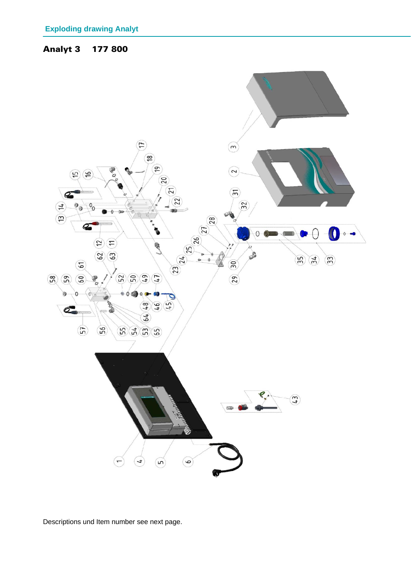#### Analyt 3 177 800



Descriptions und Item number see next page.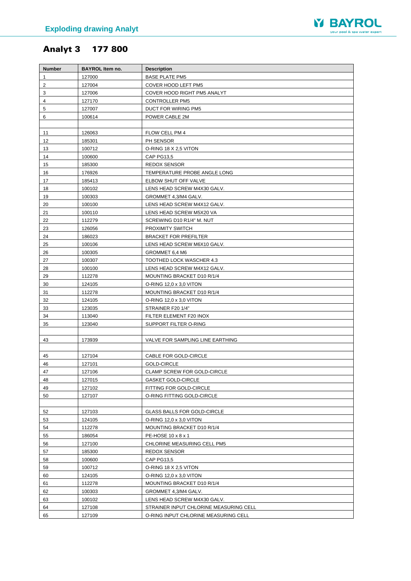

## Analyt 3 177 800

| <b>Number</b>  | <b>BAYROL Item no.</b> | <b>Description</b>                                                    |
|----------------|------------------------|-----------------------------------------------------------------------|
| 1              | 127000                 | <b>BASE PLATE PM5</b>                                                 |
| $\overline{2}$ | 127004                 | COVER HOOD LEFT PM5                                                   |
| 3              | 127006                 | COVER HOOD RIGHT PM5 ANALYT                                           |
| 4              | 127170                 | <b>CONTROLLER PM5</b>                                                 |
| 5              | 127007                 | DUCT FOR WIRING PM5                                                   |
| 6              | 100614                 | POWER CABLE 2M                                                        |
|                |                        |                                                                       |
| 11             | 126063                 | FLOW CELL PM 4                                                        |
| 12             | 185301                 | PH SENSOR                                                             |
| 13             | 100712                 | O-RING 18 X 2,5 VITON                                                 |
| 14             | 100600                 | <b>CAP PG13,5</b>                                                     |
| 15             | 185300                 | <b>REDOX SENSOR</b>                                                   |
| 16             | 176926                 | TEMPERATURE PROBE ANGLE LONG                                          |
| 17             | 185413                 | ELBOW SHUT OFF VALVE                                                  |
| 18             | 100102                 | LENS HEAD SCREW M4X30 GALV.                                           |
| 19             | 100303                 | GROMMET 4,3/M4 GALV.                                                  |
| 20             | 100100                 | LENS HEAD SCREW M4X12 GALV.                                           |
| 21             | 100110                 | LENS HEAD SCREW M5X20 VA                                              |
| 22             | 112279                 | SCREWING D10 R1/4" M. NUT                                             |
| 23<br>24       | 126056<br>186023       | PROXIMITY SWITCH<br><b>BRACKET FOR PREFILTER</b>                      |
| 25             | 100106                 | LENS HEAD SCREW M6X10 GALV.                                           |
| 26             | 100305                 | GROMMET 6,4 M6                                                        |
| 27             | 100307                 | TOOTHED LOCK WASCHER 4.3                                              |
| 28             | 100100                 | LENS HEAD SCREW M4X12 GALV.                                           |
| 29             | 112278                 | MOUNTING BRACKET D10 R/1/4                                            |
| 30             | 124105                 | O-RING 12,0 x 3,0 VITON                                               |
| 31             | 112278                 | MOUNTING BRACKET D10 R/1/4                                            |
| 32             | 124105                 | O-RING 12,0 x 3,0 VITON                                               |
| 33             | 123035                 | STRAINER F20 1/4"                                                     |
| 34             | 113040                 | FILTER ELEMENT F20 INOX                                               |
| 35             | 123040                 | SUPPORT FILTER O-RING                                                 |
|                |                        |                                                                       |
| 43             | 173939                 | VALVE FOR SAMPLING LINE EARTHING                                      |
|                |                        |                                                                       |
| 45             | 127104                 | CABLE FOR GOLD-CIRCLE                                                 |
| 46             | 127101                 | <b>GOLD-CIRCLE</b>                                                    |
| 47             | 127106                 | CLAMP SCREW FOR GOLD-CIRCLE                                           |
| 48             | 127015                 | <b>GASKET GOLD-CIRCLE</b>                                             |
| 49             | 127102                 | FITTING FOR GOLD-CIRCLE                                               |
| 50             | 127107                 | O-RING FITTING GOLD-CIRCLE                                            |
|                |                        |                                                                       |
| 52             | 127103                 | <b>GLASS BALLS FOR GOLD-CIRCLE</b>                                    |
| 53             | 124105                 | O-RING 12,0 x 3,0 VITON                                               |
| 54             | 112278                 | MOUNTING BRACKET D10 R/1/4                                            |
| 55             | 186054                 | PE-HOSE 10 x 8 x 1                                                    |
| 56             | 127100                 | CHLORINE MEASURING CELL PM5                                           |
| 57             | 185300                 | <b>REDOX SENSOR</b>                                                   |
| 58             | 100600                 | <b>CAP PG13,5</b>                                                     |
| 59             | 100712                 | O-RING 18 X 2,5 VITON                                                 |
| 60             | 124105                 | O-RING 12,0 x 3,0 VITON                                               |
| 61             | 112278                 | MOUNTING BRACKET D10 R/1/4                                            |
| 62             | 100303                 | GROMMET 4,3/M4 GALV.                                                  |
| 63<br>64       | 100102                 | LENS HEAD SCREW M4X30 GALV.<br>STRAINER INPUT CHLORINE MEASURING CELL |
| 65             | 127108<br>127109       | O-RING INPUT CHLORINE MEASURING CELL                                  |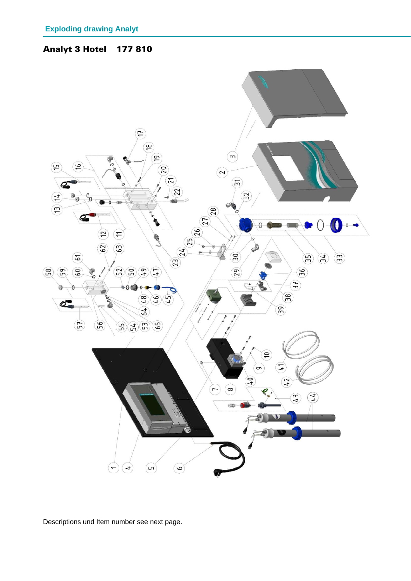



Descriptions und Item number see next page.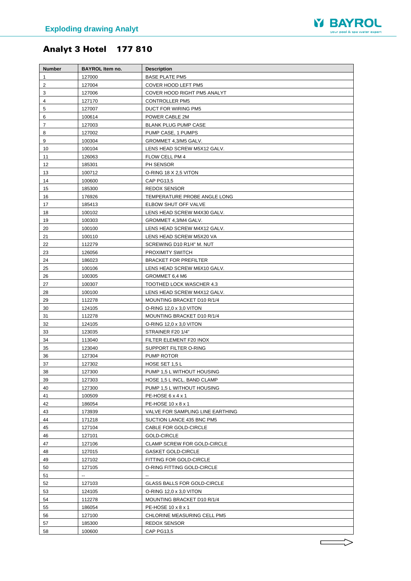

## Analyt 3 Hotel 177 810

| <b>Number</b>  | <b>BAYROL Item no.</b> | <b>Description</b>                 |
|----------------|------------------------|------------------------------------|
| 1              | 127000                 | <b>BASE PLATE PM5</b>              |
| $\overline{2}$ | 127004                 | COVER HOOD LEFT PM5                |
| 3              | 127006                 | COVER HOOD RIGHT PM5 ANALYT        |
| 4              | 127170                 | <b>CONTROLLER PM5</b>              |
| 5              | 127007                 | DUCT FOR WIRING PM5                |
| 6              | 100614                 | POWER CABLE 2M                     |
| 7              | 127003                 | BLANK PLUG PUMP CASE               |
| 8              | 127002                 | PUMP CASE, 1 PUMPS                 |
| 9              | 100304                 | GROMMET 4,3/M5 GALV.               |
| 10             | 100104                 | LENS HEAD SCREW M5X12 GALV.        |
| 11             | 126063                 | FLOW CELL PM 4                     |
| 12             | 185301                 | PH SENSOR                          |
| 13             | 100712                 | O-RING 18 X 2,5 VITON              |
| 14             | 100600                 | CAP PG13,5                         |
| 15             | 185300                 | <b>REDOX SENSOR</b>                |
| 16             | 176926                 | TEMPERATURE PROBE ANGLE LONG       |
| 17             | 185413                 | ELBOW SHUT OFF VALVE               |
| 18             | 100102                 | LENS HEAD SCREW M4X30 GALV.        |
| 19             | 100303                 | GROMMET 4,3/M4 GALV.               |
| 20             | 100100                 | LENS HEAD SCREW M4X12 GALV.        |
| 21             | 100110                 | LENS HEAD SCREW M5X20 VA           |
| 22             | 112279                 | SCREWING D10 R1/4" M. NUT          |
| 23             | 126056                 | PROXIMITY SWITCH                   |
| 24             | 186023                 | <b>BRACKET FOR PREFILTER</b>       |
| 25             | 100106                 | LENS HEAD SCREW M6X10 GALV.        |
| 26             | 100305                 | GROMMET 6,4 M6                     |
| 27             | 100307                 | TOOTHED LOCK WASCHER 4.3           |
| 28             | 100100                 | LENS HEAD SCREW M4X12 GALV.        |
| 29             | 112278                 | MOUNTING BRACKET D10 R/1/4         |
| 30             | 124105                 | O-RING 12,0 x 3,0 VITON            |
| 31             | 112278                 | MOUNTING BRACKET D10 R/1/4         |
| 32             | 124105                 | O-RING 12,0 x 3,0 VITON            |
| 33             | 123035                 | STRAINER F20 1/4"                  |
| 34             | 113040                 | FILTER ELEMENT F20 INOX            |
| 35             | 123040                 | SUPPORT FILTER O-RING              |
| 36             | 127304                 | PUMP ROTOR                         |
| 37             | 127302                 | HOSE SET 1,5 L                     |
| 38             | 127300                 | PUMP 1,5 L WITHOUT HOUSING         |
| 39             | 127303                 | HOSE 1,5 L INCL. BAND CLAMP        |
| 40             | 127300                 | PUMP 1,5 L WITHOUT HOUSING         |
| 41             | 100509                 | PE-HOSE 6 x 4 x 1                  |
| 42             | 186054                 | PE-HOSE 10 x 8 x 1                 |
| 43             | 173939                 | VALVE FOR SAMPLING LINE EARTHING   |
| 44             | 171218                 | SUCTION LANCE 435 BNC PM5          |
| 45             | 127104                 | CABLE FOR GOLD-CIRCLE              |
| 46             | 127101                 | GOLD-CIRCLE                        |
| 47             | 127106                 | CLAMP SCREW FOR GOLD-CIRCLE        |
| 48             | 127015                 | <b>GASKET GOLD-CIRCLE</b>          |
| 49             | 127102                 | FITTING FOR GOLD-CIRCLE            |
| 50             | 127105                 | O-RING FITTING GOLD-CIRCLE         |
| 51             | --                     | --                                 |
| 52             | 127103                 | <b>GLASS BALLS FOR GOLD-CIRCLE</b> |
| 53             | 124105                 | O-RING 12,0 x 3,0 VITON            |
| 54<br>55       | 112278                 | MOUNTING BRACKET D10 R/1/4         |
|                | 186054                 | PE-HOSE 10 x 8 x 1                 |
| 56<br>57       | 127100                 | CHLORINE MEASURING CELL PM5        |
|                | 185300                 | <b>REDOX SENSOR</b>                |
| 58             | 100600                 | <b>CAP PG13,5</b>                  |